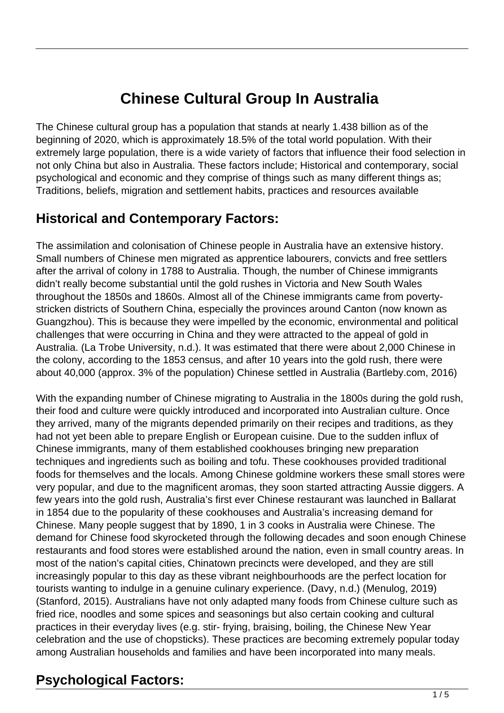# **Chinese Cultural Group In Australia**

The Chinese cultural group has a population that stands at nearly 1.438 billion as of the beginning of 2020, which is approximately 18.5% of the total world population. With their extremely large population, there is a wide variety of factors that influence their food selection in not only China but also in Australia. These factors include; Historical and contemporary, social psychological and economic and they comprise of things such as many different things as; Traditions, beliefs, migration and settlement habits, practices and resources available

### **Historical and Contemporary Factors:**

The assimilation and colonisation of Chinese people in Australia have an extensive history. Small numbers of Chinese men migrated as apprentice labourers, convicts and free settlers after the arrival of colony in 1788 to Australia. Though, the number of Chinese immigrants didn't really become substantial until the gold rushes in Victoria and New South Wales throughout the 1850s and 1860s. Almost all of the Chinese immigrants came from povertystricken districts of Southern China, especially the provinces around Canton (now known as Guangzhou). This is because they were impelled by the economic, environmental and political challenges that were occurring in China and they were attracted to the appeal of gold in Australia. (La Trobe University, n.d.). It was estimated that there were about 2,000 Chinese in the colony, according to the 1853 census, and after 10 years into the gold rush, there were about 40,000 (approx. 3% of the population) Chinese settled in Australia (Bartleby.com, 2016)

With the expanding number of Chinese migrating to Australia in the 1800s during the gold rush, their food and culture were quickly introduced and incorporated into Australian culture. Once they arrived, many of the migrants depended primarily on their recipes and traditions, as they had not yet been able to prepare English or European cuisine. Due to the sudden influx of Chinese immigrants, many of them established cookhouses bringing new preparation techniques and ingredients such as boiling and tofu. These cookhouses provided traditional foods for themselves and the locals. Among Chinese goldmine workers these small stores were very popular, and due to the magnificent aromas, they soon started attracting Aussie diggers. A few years into the gold rush, Australia's first ever Chinese restaurant was launched in Ballarat in 1854 due to the popularity of these cookhouses and Australia's increasing demand for Chinese. Many people suggest that by 1890, 1 in 3 cooks in Australia were Chinese. The demand for Chinese food skyrocketed through the following decades and soon enough Chinese restaurants and food stores were established around the nation, even in small country areas. In most of the nation's capital cities, Chinatown precincts were developed, and they are still increasingly popular to this day as these vibrant neighbourhoods are the perfect location for tourists wanting to indulge in a genuine culinary experience. (Davy, n.d.) (Menulog, 2019) (Stanford, 2015). Australians have not only adapted many foods from Chinese culture such as fried rice, noodles and some spices and seasonings but also certain cooking and cultural practices in their everyday lives (e.g. stir- frying, braising, boiling, the Chinese New Year celebration and the use of chopsticks). These practices are becoming extremely popular today among Australian households and families and have been incorporated into many meals.

# **Psychological Factors:**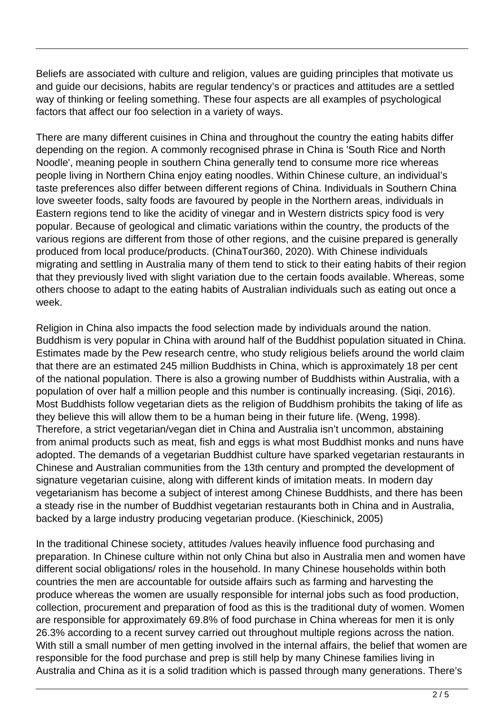Beliefs are associated with culture and religion, values are guiding principles that motivate us and guide our decisions, habits are regular tendency's or practices and attitudes are a settled way of thinking or feeling something. These four aspects are all examples of psychological factors that affect our foo selection in a variety of ways.

There are many different cuisines in China and throughout the country the eating habits differ depending on the region. A commonly recognised phrase in China is 'South Rice and North Noodle', meaning people in southern China generally tend to consume more rice whereas people living in Northern China enjoy eating noodles. Within Chinese culture, an individual's taste preferences also differ between different regions of China. Individuals in Southern China love sweeter foods, salty foods are favoured by people in the Northern areas, individuals in Eastern regions tend to like the acidity of vinegar and in Western districts spicy food is very popular. Because of geological and climatic variations within the country, the products of the various regions are different from those of other regions, and the cuisine prepared is generally produced from local produce/products. (ChinaTour360, 2020). With Chinese individuals migrating and settling in Australia many of them tend to stick to their eating habits of their region that they previously lived with slight variation due to the certain foods available. Whereas, some others choose to adapt to the eating habits of Australian individuals such as eating out once a week.

Religion in China also impacts the food selection made by individuals around the nation. Buddhism is very popular in China with around half of the Buddhist population situated in China. Estimates made by the Pew research centre, who study religious beliefs around the world claim that there are an estimated 245 million Buddhists in China, which is approximately 18 per cent of the national population. There is also a growing number of Buddhists within Australia, with a population of over half a million people and this number is continually increasing. (Siqi, 2016). Most Buddhists follow vegetarian diets as the religion of Buddhism prohibits the taking of life as they believe this will allow them to be a human being in their future life. (Weng, 1998). Therefore, a strict vegetarian/vegan diet in China and Australia isn't uncommon, abstaining from animal products such as meat, fish and eggs is what most Buddhist monks and nuns have adopted. The demands of a vegetarian Buddhist culture have sparked vegetarian restaurants in Chinese and Australian communities from the 13th century and prompted the development of signature vegetarian cuisine, along with different kinds of imitation meats. In modern day vegetarianism has become a subject of interest among Chinese Buddhists, and there has been a steady rise in the number of Buddhist vegetarian restaurants both in China and in Australia, backed by a large industry producing vegetarian produce. (Kieschinick, 2005)

In the traditional Chinese society, attitudes /values heavily influence food purchasing and preparation. In Chinese culture within not only China but also in Australia men and women have different social obligations/ roles in the household. In many Chinese households within both countries the men are accountable for outside affairs such as farming and harvesting the produce whereas the women are usually responsible for internal jobs such as food production, collection, procurement and preparation of food as this is the traditional duty of women. Women are responsible for approximately 69.8% of food purchase in China whereas for men it is only 26.3% according to a recent survey carried out throughout multiple regions across the nation. With still a small number of men getting involved in the internal affairs, the belief that women are responsible for the food purchase and prep is still help by many Chinese families living in Australia and China as it is a solid tradition which is passed through many generations. There's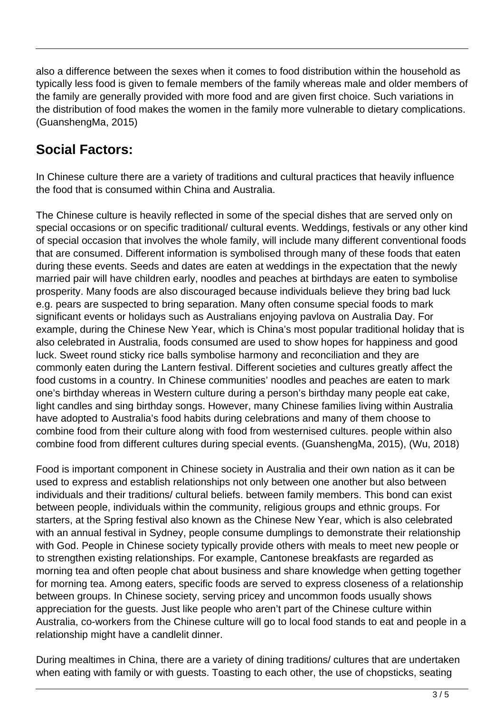also a difference between the sexes when it comes to food distribution within the household as typically less food is given to female members of the family whereas male and older members of the family are generally provided with more food and are given first choice. Such variations in the distribution of food makes the women in the family more vulnerable to dietary complications. (GuanshengMa, 2015)

### **Social Factors:**

In Chinese culture there are a variety of traditions and cultural practices that heavily influence the food that is consumed within China and Australia.

The Chinese culture is heavily reflected in some of the special dishes that are served only on special occasions or on specific traditional/ cultural events. Weddings, festivals or any other kind of special occasion that involves the whole family, will include many different conventional foods that are consumed. Different information is symbolised through many of these foods that eaten during these events. Seeds and dates are eaten at weddings in the expectation that the newly married pair will have children early, noodles and peaches at birthdays are eaten to symbolise prosperity. Many foods are also discouraged because individuals believe they bring bad luck e.g. pears are suspected to bring separation. Many often consume special foods to mark significant events or holidays such as Australians enjoying pavlova on Australia Day. For example, during the Chinese New Year, which is China's most popular traditional holiday that is also celebrated in Australia, foods consumed are used to show hopes for happiness and good luck. Sweet round sticky rice balls symbolise harmony and reconciliation and they are commonly eaten during the Lantern festival. Different societies and cultures greatly affect the food customs in a country. In Chinese communities' noodles and peaches are eaten to mark one's birthday whereas in Western culture during a person's birthday many people eat cake, light candles and sing birthday songs. However, many Chinese families living within Australia have adopted to Australia's food habits during celebrations and many of them choose to combine food from their culture along with food from westernised cultures. people within also combine food from different cultures during special events. (GuanshengMa, 2015), (Wu, 2018)

Food is important component in Chinese society in Australia and their own nation as it can be used to express and establish relationships not only between one another but also between individuals and their traditions/ cultural beliefs. between family members. This bond can exist between people, individuals within the community, religious groups and ethnic groups. For starters, at the Spring festival also known as the Chinese New Year, which is also celebrated with an annual festival in Sydney, people consume dumplings to demonstrate their relationship with God. People in Chinese society typically provide others with meals to meet new people or to strengthen existing relationships. For example, Cantonese breakfasts are regarded as morning tea and often people chat about business and share knowledge when getting together for morning tea. Among eaters, specific foods are served to express closeness of a relationship between groups. In Chinese society, serving pricey and uncommon foods usually shows appreciation for the guests. Just like people who aren't part of the Chinese culture within Australia, co-workers from the Chinese culture will go to local food stands to eat and people in a relationship might have a candlelit dinner.

During mealtimes in China, there are a variety of dining traditions/ cultures that are undertaken when eating with family or with guests. Toasting to each other, the use of chopsticks, seating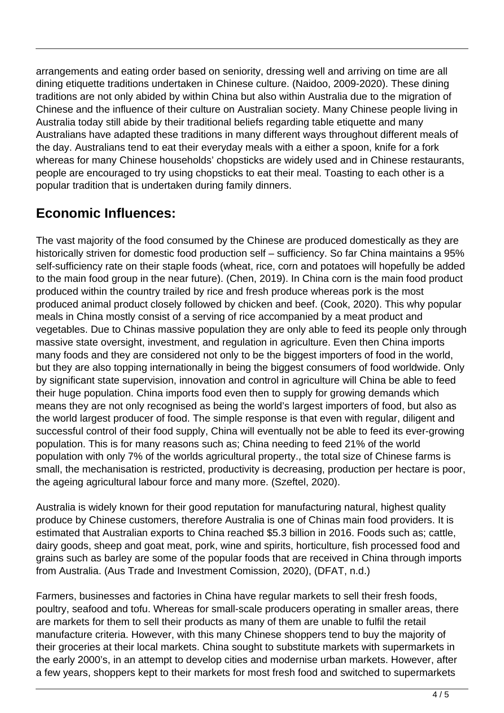arrangements and eating order based on seniority, dressing well and arriving on time are all dining etiquette traditions undertaken in Chinese culture. (Naidoo, 2009-2020). These dining traditions are not only abided by within China but also within Australia due to the migration of Chinese and the influence of their culture on Australian society. Many Chinese people living in Australia today still abide by their traditional beliefs regarding table etiquette and many Australians have adapted these traditions in many different ways throughout different meals of the day. Australians tend to eat their everyday meals with a either a spoon, knife for a fork whereas for many Chinese households' chopsticks are widely used and in Chinese restaurants, people are encouraged to try using chopsticks to eat their meal. Toasting to each other is a popular tradition that is undertaken during family dinners.

### **Economic Influences:**

The vast majority of the food consumed by the Chinese are produced domestically as they are historically striven for domestic food production self – sufficiency. So far China maintains a 95% self-sufficiency rate on their staple foods (wheat, rice, corn and potatoes will hopefully be added to the main food group in the near future). (Chen, 2019). In China corn is the main food product produced within the country trailed by rice and fresh produce whereas pork is the most produced animal product closely followed by chicken and beef. (Cook, 2020). This why popular meals in China mostly consist of a serving of rice accompanied by a meat product and vegetables. Due to Chinas massive population they are only able to feed its people only through massive state oversight, investment, and regulation in agriculture. Even then China imports many foods and they are considered not only to be the biggest importers of food in the world, but they are also topping internationally in being the biggest consumers of food worldwide. Only by significant state supervision, innovation and control in agriculture will China be able to feed their huge population. China imports food even then to supply for growing demands which means they are not only recognised as being the world's largest importers of food, but also as the world largest producer of food. The simple response is that even with regular, diligent and successful control of their food supply, China will eventually not be able to feed its ever-growing population. This is for many reasons such as; China needing to feed 21% of the world population with only 7% of the worlds agricultural property., the total size of Chinese farms is small, the mechanisation is restricted, productivity is decreasing, production per hectare is poor, the ageing agricultural labour force and many more. (Szeftel, 2020).

Australia is widely known for their good reputation for manufacturing natural, highest quality produce by Chinese customers, therefore Australia is one of Chinas main food providers. It is estimated that Australian exports to China reached \$5.3 billion in 2016. Foods such as; cattle, dairy goods, sheep and goat meat, pork, wine and spirits, horticulture, fish processed food and grains such as barley are some of the popular foods that are received in China through imports from Australia. (Aus Trade and Investment Comission, 2020), (DFAT, n.d.)

Farmers, businesses and factories in China have regular markets to sell their fresh foods, poultry, seafood and tofu. Whereas for small-scale producers operating in smaller areas, there are markets for them to sell their products as many of them are unable to fulfil the retail manufacture criteria. However, with this many Chinese shoppers tend to buy the majority of their groceries at their local markets. China sought to substitute markets with supermarkets in the early 2000's, in an attempt to develop cities and modernise urban markets. However, after a few years, shoppers kept to their markets for most fresh food and switched to supermarkets